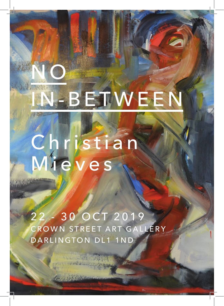## IN-BEJWEEN

Christian<br>Miewes

22 - 30 OCT 2019 CROWN STREET ART GALLERY DARLINGTON DL1 1ND